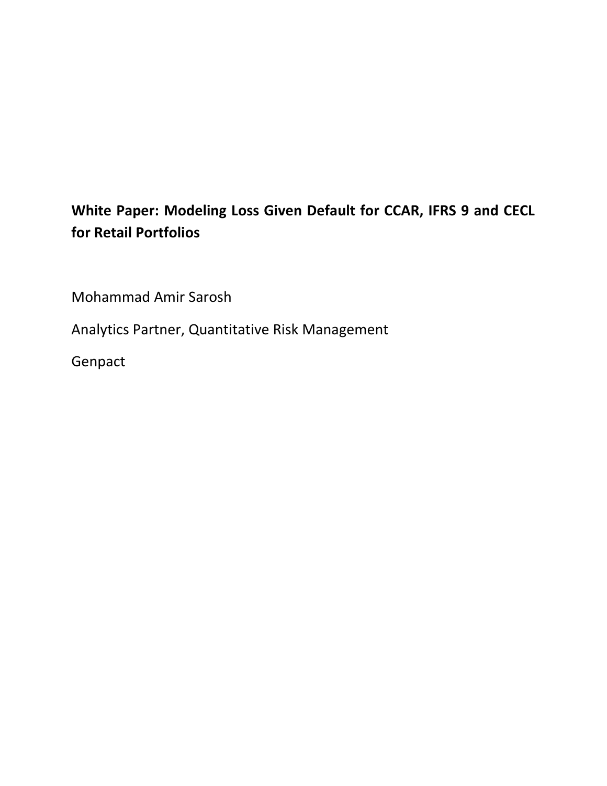# **White Paper: Modeling Loss Given Default for CCAR, IFRS 9 and CECL for Retail Portfolios**

Mohammad Amir Sarosh

Analytics Partner, Quantitative Risk Management

Genpact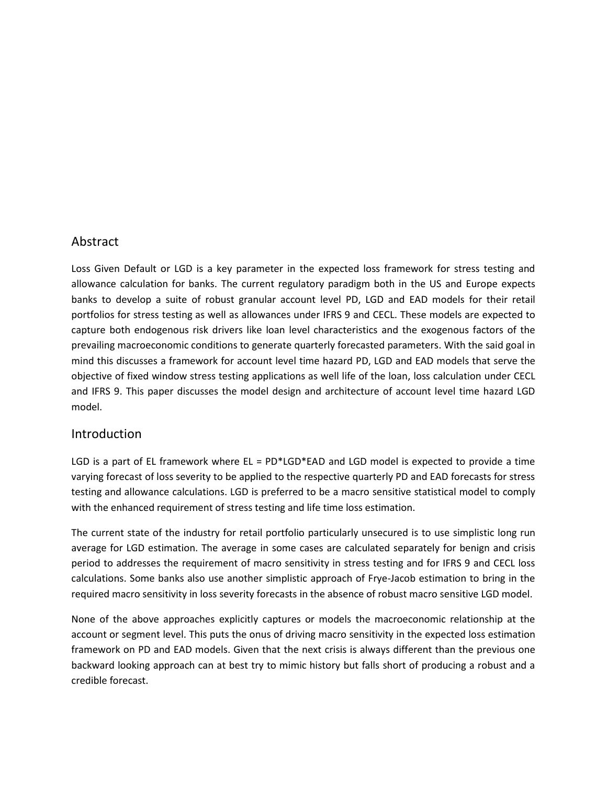### Abstract

Loss Given Default or LGD is a key parameter in the expected loss framework for stress testing and allowance calculation for banks. The current regulatory paradigm both in the US and Europe expects banks to develop a suite of robust granular account level PD, LGD and EAD models for their retail portfolios for stress testing as well as allowances under IFRS 9 and CECL. These models are expected to capture both endogenous risk drivers like loan level characteristics and the exogenous factors of the prevailing macroeconomic conditions to generate quarterly forecasted parameters. With the said goal in mind this discusses a framework for account level time hazard PD, LGD and EAD models that serve the objective of fixed window stress testing applications as well life of the loan, loss calculation under CECL and IFRS 9. This paper discusses the model design and architecture of account level time hazard LGD model.

## Introduction

LGD is a part of EL framework where  $EL = PD*LGD*EAD$  and LGD model is expected to provide a time varying forecast of loss severity to be applied to the respective quarterly PD and EAD forecasts for stress testing and allowance calculations. LGD is preferred to be a macro sensitive statistical model to comply with the enhanced requirement of stress testing and life time loss estimation.

The current state of the industry for retail portfolio particularly unsecured is to use simplistic long run average for LGD estimation. The average in some cases are calculated separately for benign and crisis period to addresses the requirement of macro sensitivity in stress testing and for IFRS 9 and CECL loss calculations. Some banks also use another simplistic approach of Frye-Jacob estimation to bring in the required macro sensitivity in loss severity forecasts in the absence of robust macro sensitive LGD model.

None of the above approaches explicitly captures or models the macroeconomic relationship at the account or segment level. This puts the onus of driving macro sensitivity in the expected loss estimation framework on PD and EAD models. Given that the next crisis is always different than the previous one backward looking approach can at best try to mimic history but falls short of producing a robust and a credible forecast.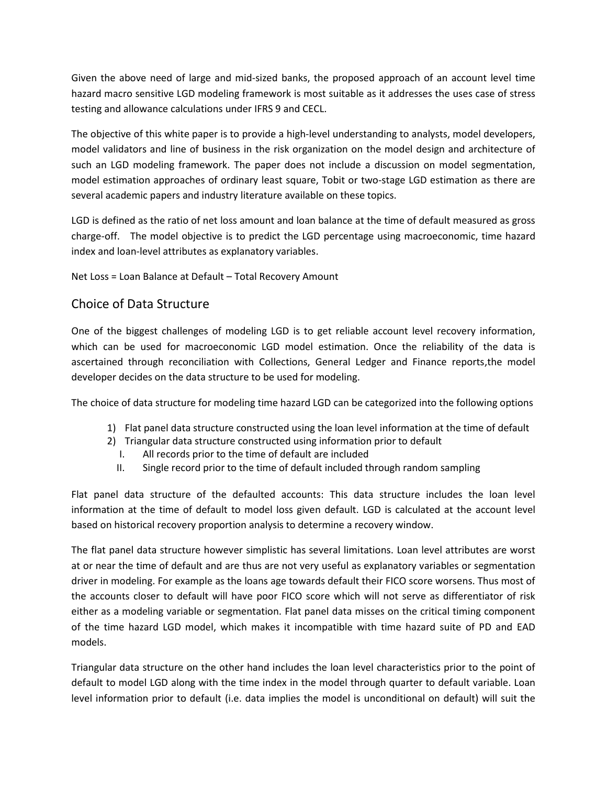Given the above need of large and mid-sized banks, the proposed approach of an account level time hazard macro sensitive LGD modeling framework is most suitable as it addresses the uses case of stress testing and allowance calculations under IFRS 9 and CECL.

The objective of this white paper is to provide a high-level understanding to analysts, model developers, model validators and line of business in the risk organization on the model design and architecture of such an LGD modeling framework. The paper does not include a discussion on model segmentation, model estimation approaches of ordinary least square, Tobit or two-stage LGD estimation as there are several academic papers and industry literature available on these topics.

LGD is defined as the ratio of net loss amount and loan balance at the time of default measured as gross charge-off. The model objective is to predict the LGD percentage using macroeconomic, time hazard index and loan-level attributes as explanatory variables.

Net Loss = Loan Balance at Default – Total Recovery Amount

# Choice of Data Structure

One of the biggest challenges of modeling LGD is to get reliable account level recovery information, which can be used for macroeconomic LGD model estimation. Once the reliability of the data is ascertained through reconciliation with Collections, General Ledger and Finance reports,the model developer decides on the data structure to be used for modeling.

The choice of data structure for modeling time hazard LGD can be categorized into the following options

- 1) Flat panel data structure constructed using the loan level information at the time of default
- 2) Triangular data structure constructed using information prior to default
	- I. All records prior to the time of default are included
	- II. Single record prior to the time of default included through random sampling

Flat panel data structure of the defaulted accounts: This data structure includes the loan level information at the time of default to model loss given default. LGD is calculated at the account level based on historical recovery proportion analysis to determine a recovery window.

The flat panel data structure however simplistic has several limitations. Loan level attributes are worst at or near the time of default and are thus are not very useful as explanatory variables or segmentation driver in modeling. For example as the loans age towards default their FICO score worsens. Thus most of the accounts closer to default will have poor FICO score which will not serve as differentiator of risk either as a modeling variable or segmentation. Flat panel data misses on the critical timing component of the time hazard LGD model, which makes it incompatible with time hazard suite of PD and EAD models.

Triangular data structure on the other hand includes the loan level characteristics prior to the point of default to model LGD along with the time index in the model through quarter to default variable. Loan level information prior to default (i.e. data implies the model is unconditional on default) will suit the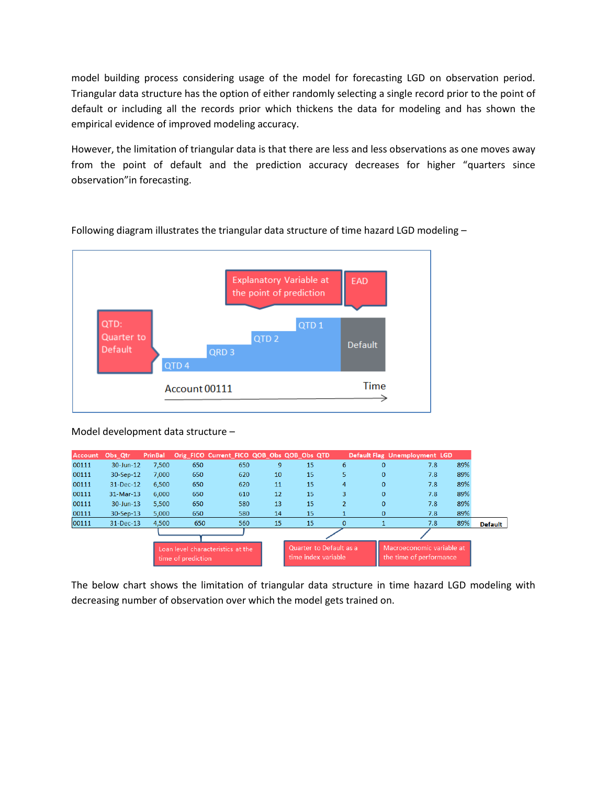model building process considering usage of the model for forecasting LGD on observation period. Triangular data structure has the option of either randomly selecting a single record prior to the point of default or including all the records prior which thickens the data for modeling and has shown the empirical evidence of improved modeling accuracy.

However, the limitation of triangular data is that there are less and less observations as one moves away from the point of default and the prediction accuracy decreases for higher "quarters since observation"in forecasting.



Following diagram illustrates the triangular data structure of time hazard LGD modeling –

#### Model development data structure –

| <b>Account</b> | Obs Qtr       | <b>PrinBal</b> |                                                         | Orig_FICO Current_FICO QOB_Obs QOB_Obs QTD |    |                                                |                |              | Default Flag Unemployment LGD                        |     |         |
|----------------|---------------|----------------|---------------------------------------------------------|--------------------------------------------|----|------------------------------------------------|----------------|--------------|------------------------------------------------------|-----|---------|
| 00111          | 30-Jun-12     | 7.500          | 650                                                     | 650                                        | 9  | 15                                             | 6              | $\mathbf{0}$ | 7.8                                                  | 89% |         |
| 00111          | 30-Sep-12     | 7,000          | 650                                                     | 620                                        | 10 | 15                                             | 5              | $\mathbf{0}$ | 7.8                                                  | 89% |         |
| 00111          | 31-Dec-12     | 6,500          | 650                                                     | 620                                        | 11 | 15                                             | $\overline{a}$ | $\mathbf 0$  | 7.8                                                  | 89% |         |
| 00111          | $31-Mar-13$   | 6,000          | 650                                                     | 610                                        | 12 | 15                                             | 3              | $\mathbf{0}$ | 7.8                                                  | 89% |         |
| 00111          | 30-Jun-13     | 5,500          | 650                                                     | 580                                        | 13 | 15                                             | $\overline{2}$ | $\mathbf 0$  | 7.8                                                  | 89% |         |
| 00111          | 30-Sep-13     | 5,000          | 650                                                     | 580                                        | 14 | 15                                             |                | $\mathbf{0}$ | 7.8                                                  | 89% |         |
| 00111          | $31 - Dec-13$ | 4,500          | 650                                                     | 560                                        | 15 | 15                                             | $\mathbf{0}$   |              | 7.8                                                  | 89% | Default |
|                |               |                |                                                         |                                            |    |                                                |                |              |                                                      |     |         |
|                |               |                | Loan level characteristics at the<br>time of prediction |                                            |    | Quarter to Default as a<br>time index variable |                |              | Macroeconomic variable at<br>the time of performance |     |         |

The below chart shows the limitation of triangular data structure in time hazard LGD modeling with decreasing number of observation over which the model gets trained on.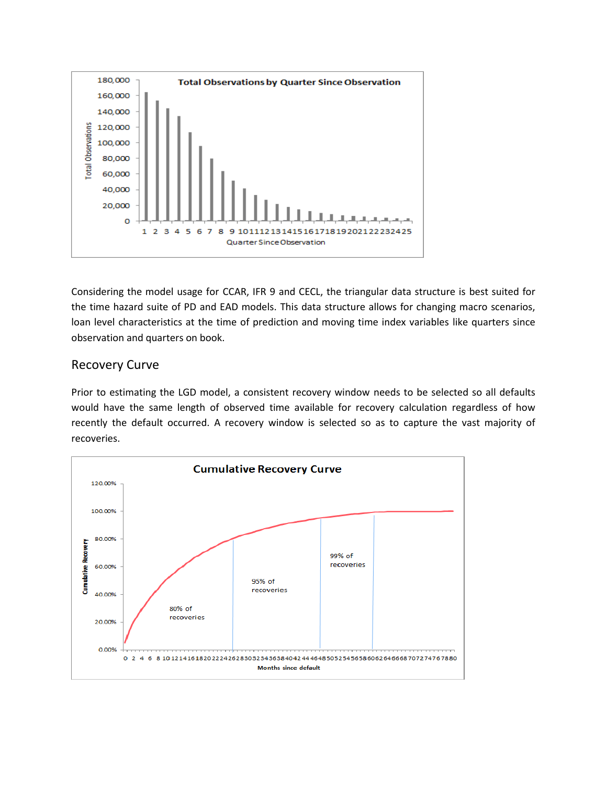

Considering the model usage for CCAR, IFR 9 and CECL, the triangular data structure is best suited for the time hazard suite of PD and EAD models. This data structure allows for changing macro scenarios, loan level characteristics at the time of prediction and moving time index variables like quarters since observation and quarters on book.

## Recovery Curve

Prior to estimating the LGD model, a consistent recovery window needs to be selected so all defaults would have the same length of observed time available for recovery calculation regardless of how recently the default occurred. A recovery window is selected so as to capture the vast majority of recoveries.

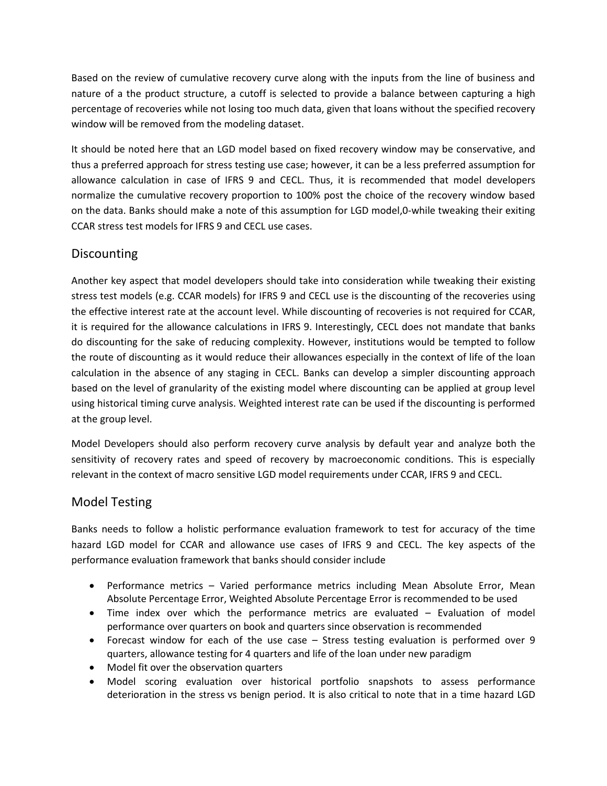Based on the review of cumulative recovery curve along with the inputs from the line of business and nature of a the product structure, a cutoff is selected to provide a balance between capturing a high percentage of recoveries while not losing too much data, given that loans without the specified recovery window will be removed from the modeling dataset.

It should be noted here that an LGD model based on fixed recovery window may be conservative, and thus a preferred approach for stress testing use case; however, it can be a less preferred assumption for allowance calculation in case of IFRS 9 and CECL. Thus, it is recommended that model developers normalize the cumulative recovery proportion to 100% post the choice of the recovery window based on the data. Banks should make a note of this assumption for LGD model,0-while tweaking their exiting CCAR stress test models for IFRS 9 and CECL use cases.

# Discounting

Another key aspect that model developers should take into consideration while tweaking their existing stress test models (e.g. CCAR models) for IFRS 9 and CECL use is the discounting of the recoveries using the effective interest rate at the account level. While discounting of recoveries is not required for CCAR, it is required for the allowance calculations in IFRS 9. Interestingly, CECL does not mandate that banks do discounting for the sake of reducing complexity. However, institutions would be tempted to follow the route of discounting as it would reduce their allowances especially in the context of life of the loan calculation in the absence of any staging in CECL. Banks can develop a simpler discounting approach based on the level of granularity of the existing model where discounting can be applied at group level using historical timing curve analysis. Weighted interest rate can be used if the discounting is performed at the group level.

Model Developers should also perform recovery curve analysis by default year and analyze both the sensitivity of recovery rates and speed of recovery by macroeconomic conditions. This is especially relevant in the context of macro sensitive LGD model requirements under CCAR, IFRS 9 and CECL.

## Model Testing

Banks needs to follow a holistic performance evaluation framework to test for accuracy of the time hazard LGD model for CCAR and allowance use cases of IFRS 9 and CECL. The key aspects of the performance evaluation framework that banks should consider include

- Performance metrics Varied performance metrics including Mean Absolute Error, Mean Absolute Percentage Error, Weighted Absolute Percentage Error is recommended to be used
- Time index over which the performance metrics are evaluated Evaluation of model performance over quarters on book and quarters since observation is recommended
- Forecast window for each of the use case Stress testing evaluation is performed over 9 quarters, allowance testing for 4 quarters and life of the loan under new paradigm
- Model fit over the observation quarters
- Model scoring evaluation over historical portfolio snapshots to assess performance deterioration in the stress vs benign period. It is also critical to note that in a time hazard LGD